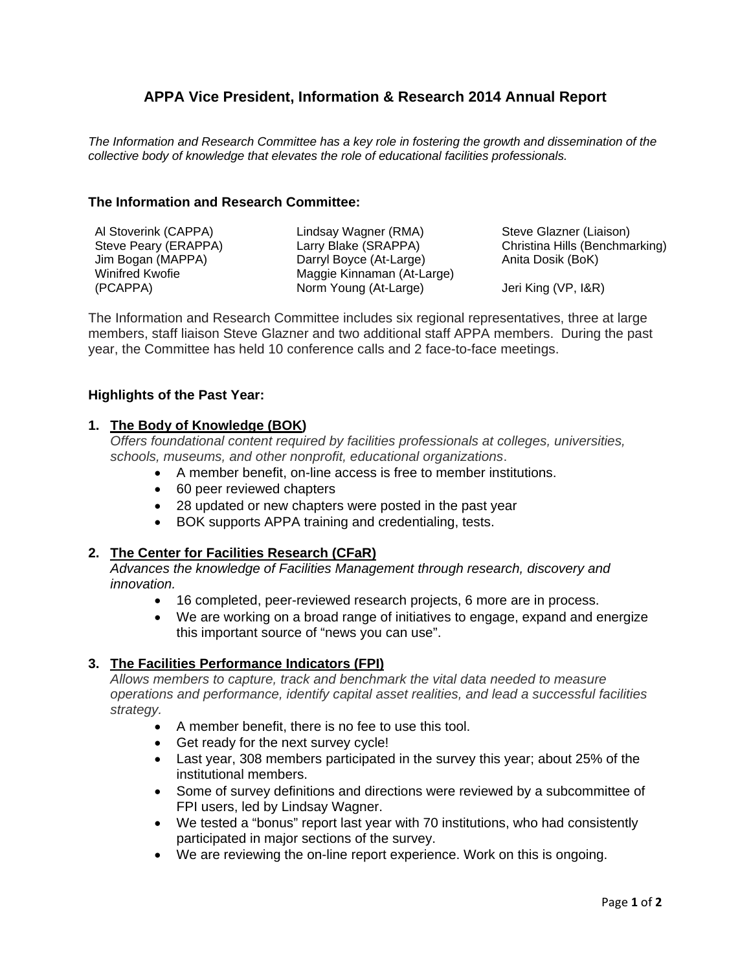# **APPA Vice President, Information & Research 2014 Annual Report**

*The Information and Research Committee has a key role in fostering the growth and dissemination of the collective body of knowledge that elevates the role of educational facilities professionals.* 

#### **The Information and Research Committee:**

| Al Stoverink (CAPPA) | Lindsay Wagner (RMA)       | Steve Glazner (Liaison)        |
|----------------------|----------------------------|--------------------------------|
| Steve Peary (ERAPPA) | Larry Blake (SRAPPA)       | Christina Hills (Benchmarking) |
| Jim Bogan (MAPPA)    | Darryl Boyce (At-Large)    | Anita Dosik (BoK)              |
| Winifred Kwofie      | Maggie Kinnaman (At-Large) |                                |
| (PCAPPA)             | Norm Young (At-Large)      | Jeri King (VP, I&R)            |

The Information and Research Committee includes six regional representatives, three at large members, staff liaison Steve Glazner and two additional staff APPA members. During the past year, the Committee has held 10 conference calls and 2 face-to-face meetings.

#### **Highlights of the Past Year:**

#### **1. The Body of Knowledge (BOK)**

*Offers foundational content required by facilities professionals at colleges, universities, schools, museums, and other nonprofit, educational organizations*.

- A member benefit, on-line access is free to member institutions.
- 60 peer reviewed chapters
- 28 updated or new chapters were posted in the past year
- BOK supports APPA training and credentialing, tests.

#### **2. The Center for Facilities Research (CFaR)**

*Advances the knowledge of Facilities Management through research, discovery and innovation.* 

- 16 completed, peer-reviewed research projects, 6 more are in process.
- We are working on a broad range of initiatives to engage, expand and energize this important source of "news you can use".

## **3. The Facilities Performance Indicators (FPI)**

*Allows members to capture, track and benchmark the vital data needed to measure operations and performance, identify capital asset realities, and lead a successful facilities strategy.*

- A member benefit, there is no fee to use this tool.
- Get ready for the next survey cycle!
- Last year, 308 members participated in the survey this year; about 25% of the institutional members.
- Some of survey definitions and directions were reviewed by a subcommittee of FPI users, led by Lindsay Wagner.
- We tested a "bonus" report last year with 70 institutions, who had consistently participated in major sections of the survey.
- We are reviewing the on-line report experience. Work on this is ongoing.